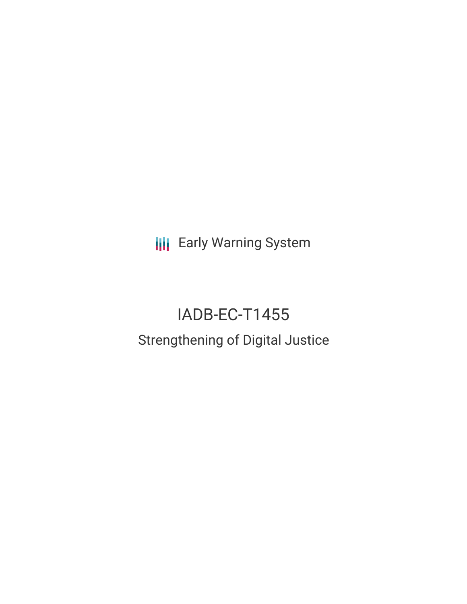**III** Early Warning System

# IADB-EC-T1455 Strengthening of Digital Justice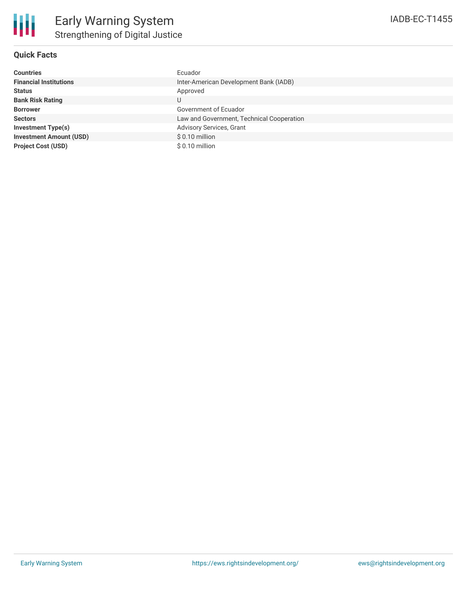

## **Quick Facts**

| <b>Countries</b>               | Ecuador                                   |
|--------------------------------|-------------------------------------------|
| <b>Financial Institutions</b>  | Inter-American Development Bank (IADB)    |
| <b>Status</b>                  | Approved                                  |
| <b>Bank Risk Rating</b>        | U                                         |
| <b>Borrower</b>                | Government of Ecuador                     |
| <b>Sectors</b>                 | Law and Government, Technical Cooperation |
| <b>Investment Type(s)</b>      | Advisory Services, Grant                  |
| <b>Investment Amount (USD)</b> | $$0.10$ million                           |
| <b>Project Cost (USD)</b>      | $$0.10$ million                           |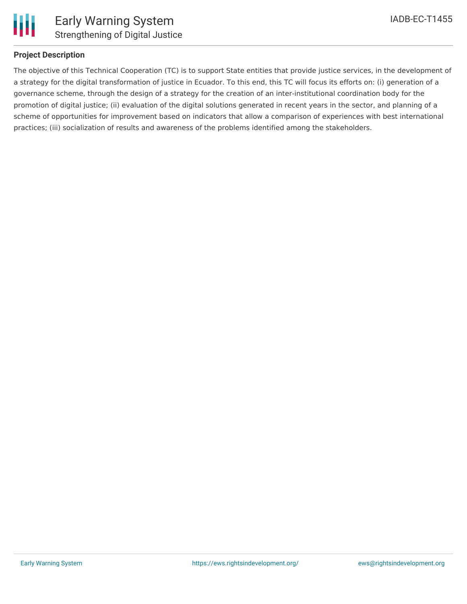

### **Project Description**

The objective of this Technical Cooperation (TC) is to support State entities that provide justice services, in the development of a strategy for the digital transformation of justice in Ecuador. To this end, this TC will focus its efforts on: (i) generation of a governance scheme, through the design of a strategy for the creation of an inter-institutional coordination body for the promotion of digital justice; (ii) evaluation of the digital solutions generated in recent years in the sector, and planning of a scheme of opportunities for improvement based on indicators that allow a comparison of experiences with best international practices; (iii) socialization of results and awareness of the problems identified among the stakeholders.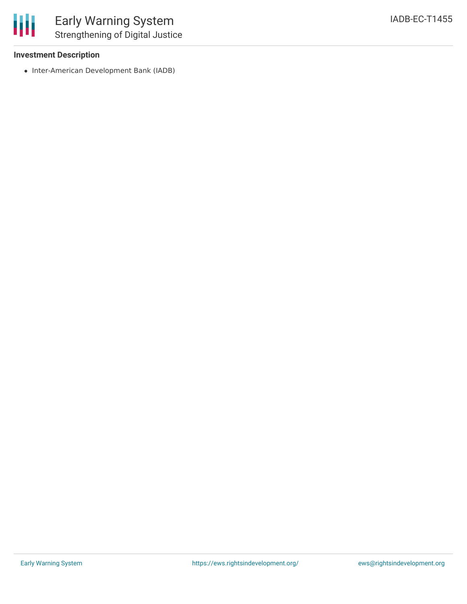#### **Investment Description**

• Inter-American Development Bank (IADB)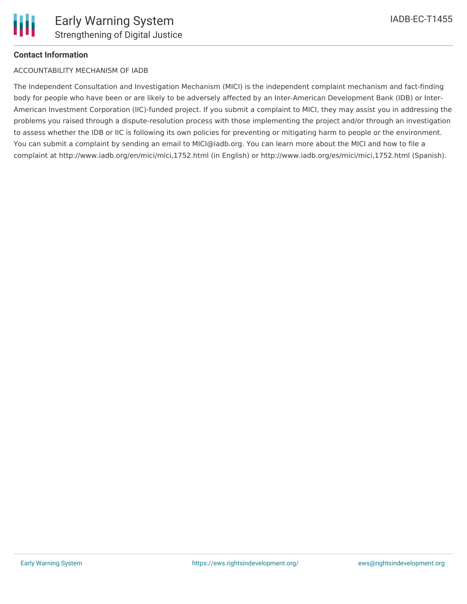## **Contact Information**

#### ACCOUNTABILITY MECHANISM OF IADB

The Independent Consultation and Investigation Mechanism (MICI) is the independent complaint mechanism and fact-finding body for people who have been or are likely to be adversely affected by an Inter-American Development Bank (IDB) or Inter-American Investment Corporation (IIC)-funded project. If you submit a complaint to MICI, they may assist you in addressing the problems you raised through a dispute-resolution process with those implementing the project and/or through an investigation to assess whether the IDB or IIC is following its own policies for preventing or mitigating harm to people or the environment. You can submit a complaint by sending an email to MICI@iadb.org. You can learn more about the MICI and how to file a complaint at http://www.iadb.org/en/mici/mici,1752.html (in English) or http://www.iadb.org/es/mici/mici,1752.html (Spanish).